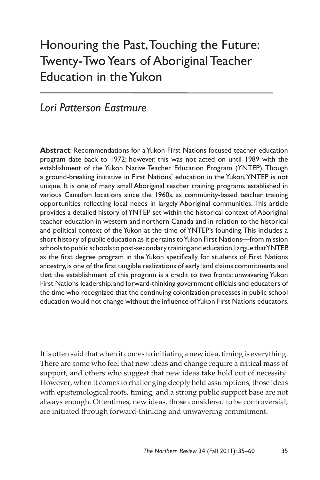# Honouring the Past, Touching the Future: Twenty-Two Years of Aboriginal Teacher Education in the Yukon

# *Lori Patterson Eastmure*

**Abstract**: Recommendations for a Yukon First Nations focused teacher education program date back to 1972; however, this was not acted on until 1989 with the establishment of the Yukon Native Teacher Education Program (YNTEP). Though a ground-breaking initiative in First Nations' education in the Yukon, YNTEP is not unique. It is one of many small Aboriginal teacher training programs established in various Canadian locations since the 1960s, as community-based teacher training opportunities reflecting local needs in largely Aboriginal communities. This article provides a detailed history of YNTEP set within the historical context of Aboriginal teacher education in western and northern Canada and in relation to the historical and political context of the Yukon at the time of YNTEP's founding. This includes a short history of public education as it pertains to Yukon First Nations—from mission schools to public schools to post-secondary training and education. I argue that YNTEP, as the first degree program in the Yukon specifically for students of First Nations ancestry, is one of the first tangible realizations of early land claims commitments and that the establishment of this program is a credit to two fronts: unwavering Yukon First Nations leadership, and forward-thinking government officials and educators of the time who recognized that the continuing colonization processes in public school education would not change without the influence of Yukon First Nations educators.

It is often said that when it comes to initiating a new idea, timing is everything. There are some who feel that new ideas and change require a critical mass of support, and others who suggest that new ideas take hold out of necessity. However, when it comes to challenging deeply held assumptions, those ideas with epistemological roots, timing, and a strong public support base are not always enough. Oftentimes, new ideas, those considered to be controversial, are initiated through forward-thinking and unwavering commitment.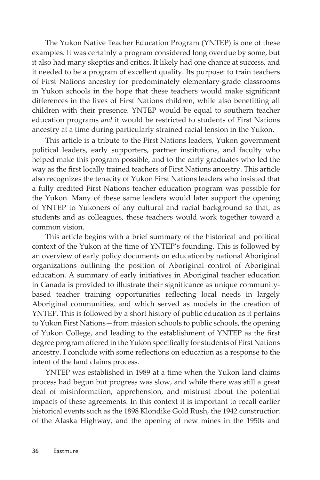The Yukon Native Teacher Education Program (YNTEP) is one of these examples. It was certainly a program considered long overdue by some, but it also had many skeptics and critics. It likely had one chance at success, and it needed to be a program of excellent quality. Its purpose: to train teachers of First Nations ancestry for predominately elementary-grade classrooms in Yukon schools in the hope that these teachers would make significant differences in the lives of First Nations children, while also benefitting all children with their presence. YNTEP would be equal to southern teacher education programs *and* it would be restricted to students of First Nations ancestry at a time during particularly strained racial tension in the Yukon.

This article is a tribute to the First Nations leaders, Yukon government political leaders, early supporters, partner institutions, and faculty who helped make this program possible, and to the early graduates who led the way as the first locally trained teachers of First Nations ancestry. This article also recognizes the tenacity of Yukon First Nations leaders who insisted that a fully credited First Nations teacher education program was possible for the Yukon. Many of these same leaders would later support the opening of YNTEP to Yukoners of any cultural and racial background so that, as students and as colleagues, these teachers would work together toward a common vision.

This article begins with a brief summary of the historical and political context of the Yukon at the time of YNTEP's founding. This is followed by an overview of early policy documents on education by national Aboriginal organizations outlining the position of Aboriginal control of Aboriginal education. A summary of early initiatives in Aboriginal teacher education in Canada is provided to illustrate their significance as unique communitybased teacher training opportunities reflecting local needs in largely Aboriginal communities, and which served as models in the creation of YNTEP. This is followed by a short history of public education as it pertains to Yukon First Nations—from mission schools to public schools, the opening of Yukon College, and leading to the establishment of YNTEP as the first degree program offered in the Yukon specifically for students of First Nations ancestry. I conclude with some reflections on education as a response to the intent of the land claims process.

YNTEP was established in 1989 at a time when the Yukon land claims process had begun but progress was slow, and while there was still a great deal of misinformation, apprehension, and mistrust about the potential impacts of these agreements. In this context it is important to recall earlier historical events such as the 1898 Klondike Gold Rush, the 1942 construction of the Alaska Highway, and the opening of new mines in the 1950s and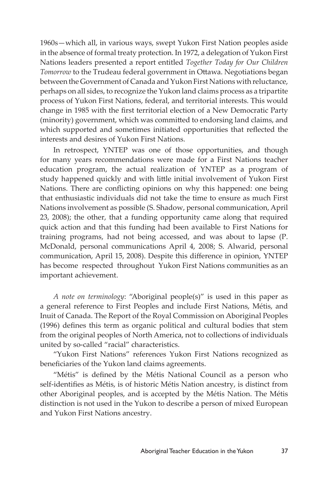1960s—which all, in various ways, swept Yukon First Nation peoples aside in the absence of formal treaty protection. In 1972, a delegation of Yukon First Nations leaders presented a report entitled *Together Today for Our Children Tomorrow* to the Trudeau federal government in Ottawa. Negotiations began between the Government of Canada and Yukon First Nations with reluctance, perhaps on all sides, to recognize the Yukon land claims process as a tripartite process of Yukon First Nations, federal, and territorial interests. This would change in 1985 with the first territorial election of a New Democratic Party (minority) government, which was committed to endorsing land claims, and which supported and sometimes initiated opportunities that reflected the interests and desires of Yukon First Nations.

In retrospect, YNTEP was one of those opportunities, and though for many years recommendations were made for a First Nations teacher education program, the actual realization of YNTEP as a program of study happened quickly and with little initial involvement of Yukon First Nations. There are conflicting opinions on why this happened: one being that enthusiastic individuals did not take the time to ensure as much First Nations involvement as possible (S. Shadow, personal communication, April 23, 2008); the other, that a funding opportunity came along that required quick action and that this funding had been available to First Nations for training programs, had not being accessed, and was about to lapse (P. McDonald, personal communications April 4, 2008; S. Alwarid, personal communication, April 15, 2008). Despite this difference in opinion, YNTEP has become respected throughout Yukon First Nations communities as an important achievement.

*A note on terminology*: "Aboriginal people(s)" is used in this paper as a general reference to First Peoples and include First Nations, Métis, and Inuit of Canada. The Report of the Royal Commission on Aboriginal Peoples (1996) defines this term as organic political and cultural bodies that stem from the original peoples of North America, not to collections of individuals united by so-called "racial" characteristics.

"Yukon First Nations" references Yukon First Nations recognized as beneficiaries of the Yukon land claims agreements.

"Métis" is defined by the Métis National Council as a person who self-identifies as Métis, is of historic Métis Nation ancestry, is distinct from other Aboriginal peoples, and is accepted by the Métis Nation. The Métis distinction is not used in the Yukon to describe a person of mixed European and Yukon First Nations ancestry.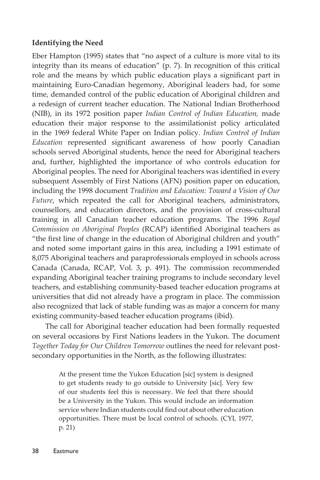## **Identifying the Need**

Eber Hampton (1995) states that "no aspect of a culture is more vital to its integrity than its means of education" (p. 7). In recognition of this critical role and the means by which public education plays a significant part in maintaining Euro-Canadian hegemony, Aboriginal leaders had, for some time, demanded control of the public education of Aboriginal children and a redesign of current teacher education. The National Indian Brotherhood (NIB), in its 1972 position paper *Indian Control of Indian Education,* made education their major response to the assimilationist policy articulated in the 1969 federal White Paper on Indian policy*. Indian Control of Indian Education* represented significant awareness of how poorly Canadian schools served Aboriginal students, hence the need for Aboriginal teachers and, further, highlighted the importance of who controls education for Aboriginal peoples. The need for Aboriginal teachers was identified in every subsequent Assembly of First Nations (AFN) position paper on education, including the 1998 document *Tradition and Education: Toward a Vision of Our Future*, which repeated the call for Aboriginal teachers, administrators, counsellors, and education directors, and the provision of cross-cultural training in all Canadian teacher education programs. The 1996 *Royal Commission on Aboriginal Peoples* (RCAP) identified Aboriginal teachers as "the first line of change in the education of Aboriginal children and youth" and noted some important gains in this area, including a 1991 estimate of 8,075 Aboriginal teachers and paraprofessionals employed in schools across Canada (Canada, RCAP, Vol. 3, p. 491). The commission recommended expanding Aboriginal teacher training programs to include secondary level teachers, and establishing community-based teacher education programs at universities that did not already have a program in place. The commission also recognized that lack of stable funding was as major a concern for many existing community-based teacher education programs (ibid).

The call for Aboriginal teacher education had been formally requested on several occasions by First Nations leaders in the Yukon. The document *Together Today for Our Children Tomorrow* outlines the need for relevant postsecondary opportunities in the North, as the following illustrates:

> At the present time the Yukon Education [sic] system is designed to get students ready to go outside to University [sic]. Very few of our students feel this is necessary. We feel that there should be a University in the Yukon. This would include an information service where Indian students could find out about other education opportunities. There must be local control of schools. (CYI, 1977, p. 21)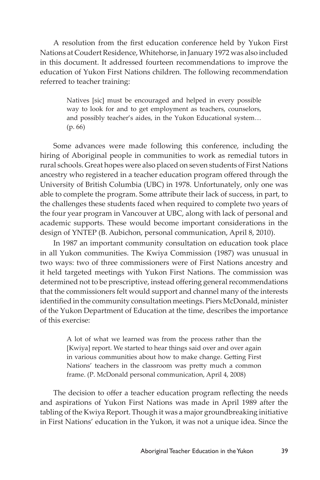A resolution from the first education conference held by Yukon First Nations at Coudert Residence, Whitehorse, in January 1972 was also included in this document. It addressed fourteen recommendations to improve the education of Yukon First Nations children. The following recommendation referred to teacher training:

> Natives [sic] must be encouraged and helped in every possible way to look for and to get employment as teachers, counselors, and possibly teacher's aides, in the Yukon Educational system… (p. 66)

Some advances were made following this conference, including the hiring of Aboriginal people in communities to work as remedial tutors in rural schools. Great hopes were also placed on seven students of First Nations ancestry who registered in a teacher education program offered through the University of British Columbia (UBC) in 1978. Unfortunately, only one was able to complete the program. Some attribute their lack of success, in part, to the challenges these students faced when required to complete two years of the four year program in Vancouver at UBC, along with lack of personal and academic supports. These would become important considerations in the design of YNTEP (B. Aubichon, personal communication, April 8, 2010).

In 1987 an important community consultation on education took place in all Yukon communities. The Kwiya Commission (1987) was unusual in two ways: two of three commissioners were of First Nations ancestry and it held targeted meetings with Yukon First Nations. The commission was determined not to be prescriptive, instead offering general recommendations that the commissioners felt would support and channel many of the interests identified in the community consultation meetings. Piers McDonald, minister of the Yukon Department of Education at the time, describes the importance of this exercise:

> A lot of what we learned was from the process rather than the [Kwiya] report. We started to hear things said over and over again in various communities about how to make change. Getting First Nations' teachers in the classroom was pretty much a common frame. (P. McDonald personal communication, April 4, 2008)

The decision to offer a teacher education program reflecting the needs and aspirations of Yukon First Nations was made in April 1989 after the tabling of the Kwiya Report. Though it was a major groundbreaking initiative in First Nations' education in the Yukon, it was not a unique idea. Since the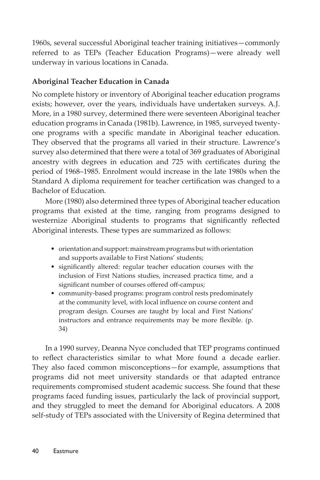1960s, several successful Aboriginal teacher training initiatives—commonly referred to as TEPs (Teacher Education Programs)—were already well underway in various locations in Canada.

# **Aboriginal Teacher Education in Canada**

No complete history or inventory of Aboriginal teacher education programs exists; however, over the years, individuals have undertaken surveys. A.J. More, in a 1980 survey, determined there were seventeen Aboriginal teacher education programs in Canada (1981b). Lawrence, in 1985, surveyed twentyone programs with a specific mandate in Aboriginal teacher education. They observed that the programs all varied in their structure. Lawrence's survey also determined that there were a total of 369 graduates of Aboriginal ancestry with degrees in education and 725 with certificates during the period of 1968–1985. Enrolment would increase in the late 1980s when the Standard A diploma requirement for teacher certification was changed to a Bachelor of Education.

More (1980) also determined three types of Aboriginal teacher education programs that existed at the time, ranging from programs designed to westernize Aboriginal students to programs that significantly reflected Aboriginal interests. These types are summarized as follows:

- orientation and support: mainstream programs but with orientation and supports available to First Nations' students;
- significantly altered: regular teacher education courses with the inclusion of First Nations studies, increased practica time, and a significant number of courses offered off-campus;
- community-based programs: program control rests predominately at the community level, with local influence on course content and program design. Courses are taught by local and First Nations' instructors and entrance requirements may be more flexible. (p. 34)

In a 1990 survey, Deanna Nyce concluded that TEP programs continued to reflect characteristics similar to what More found a decade earlier. They also faced common misconceptions—for example, assumptions that programs did not meet university standards or that adapted entrance requirements compromised student academic success. She found that these programs faced funding issues, particularly the lack of provincial support, and they struggled to meet the demand for Aboriginal educators. A 2008 self-study of TEPs associated with the University of Regina determined that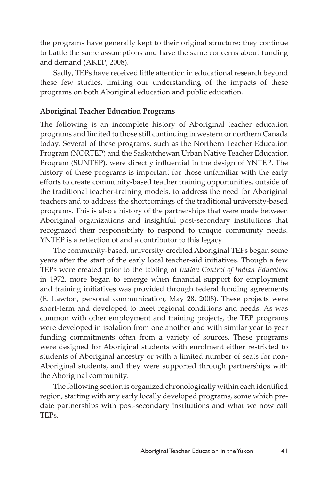the programs have generally kept to their original structure; they continue to battle the same assumptions and have the same concerns about funding and demand (AKEP, 2008).

Sadly, TEPs have received little attention in educational research beyond these few studies, limiting our understanding of the impacts of these programs on both Aboriginal education and public education.

## **Aboriginal Teacher Education Programs**

The following is an incomplete history of Aboriginal teacher education programs and limited to those still continuing in western or northern Canada today. Several of these programs, such as the Northern Teacher Education Program (NORTEP) and the Saskatchewan Urban Native Teacher Education Program (SUNTEP), were directly influential in the design of YNTEP. The history of these programs is important for those unfamiliar with the early efforts to create community-based teacher training opportunities, outside of the traditional teacher-training models, to address the need for Aboriginal teachers and to address the shortcomings of the traditional university-based programs. This is also a history of the partnerships that were made between Aboriginal organizations and insightful post-secondary institutions that recognized their responsibility to respond to unique community needs. YNTEP is a reflection of and a contributor to this legacy.

The community-based, university-credited Aboriginal TEPs began some years after the start of the early local teacher-aid initiatives. Though a few TEPs were created prior to the tabling of *Indian Control of Indian Education*  in 1972, more began to emerge when financial support for employment and training initiatives was provided through federal funding agreements (E. Lawton, personal communication, May 28, 2008). These projects were short-term and developed to meet regional conditions and needs. As was common with other employment and training projects, the TEP programs were developed in isolation from one another and with similar year to year funding commitments often from a variety of sources. These programs were designed for Aboriginal students with enrolment either restricted to students of Aboriginal ancestry or with a limited number of seats for non-Aboriginal students, and they were supported through partnerships with the Aboriginal community.

The following section is organized chronologically within each identified region, starting with any early locally developed programs, some which predate partnerships with post-secondary institutions and what we now call TEPs.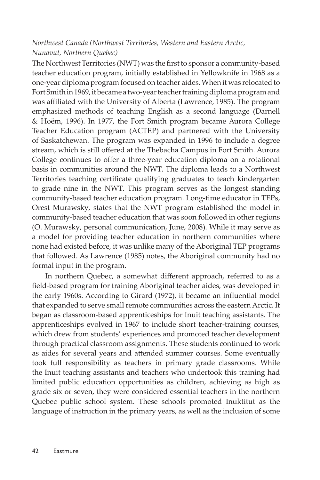# *Northwest Canada (Northwest Territories, Western and Eastern Arctic, Nunavut, Northern Quebec)*

The Northwest Territories (NWT) was the first to sponsor a community-based teacher education program, initially established in Yellowknife in 1968 as a one-year diploma program focused on teacher aides. When it was relocated to Fort Smith in 1969, it became a two-year teacher training diploma program and was affiliated with the University of Alberta (Lawrence, 1985). The program emphasized methods of teaching English as a second language (Darnell & Hoëm, 1996). In 1977, the Fort Smith program became Aurora College Teacher Education program (ACTEP) and partnered with the University of Saskatchewan. The program was expanded in 1996 to include a degree stream, which is still offered at the Thebacha Campus in Fort Smith. Aurora College continues to offer a three-year education diploma on a rotational basis in communities around the NWT. The diploma leads to a Northwest Territories teaching certificate qualifying graduates to teach kindergarten to grade nine in the NWT. This program serves as the longest standing community-based teacher education program. Long-time educator in TEPs, Orest Murawsky, states that the NWT program established the model in community-based teacher education that was soon followed in other regions (O. Murawsky, personal communication, June, 2008). While it may serve as a model for providing teacher education in northern communities where none had existed before, it was unlike many of the Aboriginal TEP programs that followed. As Lawrence (1985) notes, the Aboriginal community had no formal input in the program.

In northern Quebec, a somewhat different approach, referred to as a field-based program for training Aboriginal teacher aides, was developed in the early 1960s. According to Girard (1972), it became an influential model that expanded to serve small remote communities across the eastern Arctic. It began as classroom-based apprenticeships for Inuit teaching assistants. The apprenticeships evolved in 1967 to include short teacher-training courses, which drew from students' experiences and promoted teacher development through practical classroom assignments. These students continued to work as aides for several years and attended summer courses. Some eventually took full responsibility as teachers in primary grade classrooms. While the Inuit teaching assistants and teachers who undertook this training had limited public education opportunities as children, achieving as high as grade six or seven, they were considered essential teachers in the northern Quebec public school system. These schools promoted Inuktitut as the language of instruction in the primary years, as well as the inclusion of some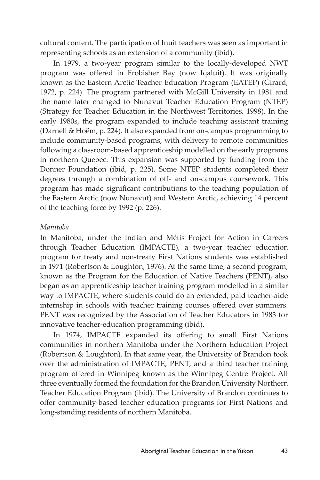cultural content. The participation of Inuit teachers was seen as important in representing schools as an extension of a community (ibid).

In 1979, a two-year program similar to the locally-developed NWT program was offered in Frobisher Bay (now Iqaluit). It was originally known as the Eastern Arctic Teacher Education Program (EATEP) (Girard, 1972, p. 224). The program partnered with McGill University in 1981 and the name later changed to Nunavut Teacher Education Program (NTEP) (Strategy for Teacher Education in the Northwest Territories*,* 1998). In the early 1980s, the program expanded to include teaching assistant training (Darnell & Hoëm, p. 224). It also expanded from on-campus programming to include community-based programs, with delivery to remote communities following a classroom-based apprenticeship modelled on the early programs in northern Quebec. This expansion was supported by funding from the Donner Foundation (ibid, p. 225). Some NTEP students completed their degrees through a combination of off- and on-campus coursework. This program has made significant contributions to the teaching population of the Eastern Arctic (now Nunavut) and Western Arctic, achieving 14 percent of the teaching force by 1992 (p. 226).

#### *Manitoba*

In Manitoba, under the Indian and Métis Project for Action in Careers through Teacher Education (IMPACTE), a two-year teacher education program for treaty and non-treaty First Nations students was established in 1971 (Robertson & Loughton, 1976). At the same time, a second program, known as the Program for the Education of Native Teachers (PENT), also began as an apprenticeship teacher training program modelled in a similar way to IMPACTE, where students could do an extended, paid teacher-aide internship in schools with teacher training courses offered over summers. PENT was recognized by the Association of Teacher Educators in 1983 for innovative teacher-education programming (ibid).

In 1974, IMPACTE expanded its offering to small First Nations communities in northern Manitoba under the Northern Education Project (Robertson & Loughton). In that same year, the University of Brandon took over the administration of IMPACTE, PENT, and a third teacher training program offered in Winnipeg known as the Winnipeg Centre Project. All three eventually formed the foundation for the Brandon University Northern Teacher Education Program (ibid). The University of Brandon continues to offer community-based teacher education programs for First Nations and long-standing residents of northern Manitoba.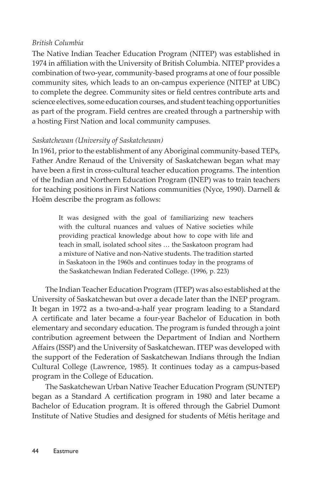#### *British Columbia*

The Native Indian Teacher Education Program (NITEP) was established in 1974 in affiliation with the University of British Columbia. NITEP provides a combination of two-year, community-based programs at one of four possible community sites, which leads to an on-campus experience (NITEP at UBC) to complete the degree. Community sites or field centres contribute arts and science electives, some education courses, and student teaching opportunities as part of the program. Field centres are created through a partnership with a hosting First Nation and local community campuses.

## *Saskatchewan (University of Saskatchewan)*

In 1961, prior to the establishment of any Aboriginal community-based TEPs, Father Andre Renaud of the University of Saskatchewan began what may have been a first in cross-cultural teacher education programs. The intention of the Indian and Northern Education Program (INEP) was to train teachers for teaching positions in First Nations communities (Nyce, 1990). Darnell & Hoëm describe the program as follows:

> It was designed with the goal of familiarizing new teachers with the cultural nuances and values of Native societies while providing practical knowledge about how to cope with life and teach in small, isolated school sites … the Saskatoon program had a mixture of Native and non-Native students. The tradition started in Saskatoon in the 1960s and continues today in the programs of the Saskatchewan Indian Federated College. (1996, p. 223)

The Indian Teacher Education Program (ITEP) was also established at the University of Saskatchewan but over a decade later than the INEP program. It began in 1972 as a two-and-a-half year program leading to a Standard A certificate and later became a four-year Bachelor of Education in both elementary and secondary education. The program is funded through a joint contribution agreement between the Department of Indian and Northern Affairs (ISSP) and the University of Saskatchewan. ITEP was developed with the support of the Federation of Saskatchewan Indians through the Indian Cultural College (Lawrence, 1985). It continues today as a campus-based program in the College of Education.

The Saskatchewan Urban Native Teacher Education Program (SUNTEP) began as a Standard A certification program in 1980 and later became a Bachelor of Education program. It is offered through the Gabriel Dumont Institute of Native Studies and designed for students of Métis heritage and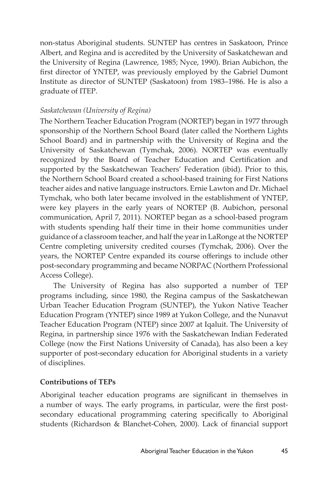non-status Aboriginal students. SUNTEP has centres in Saskatoon, Prince Albert, and Regina and is accredited by the University of Saskatchewan and the University of Regina (Lawrence, 1985; Nyce, 1990). Brian Aubichon, the first director of YNTEP, was previously employed by the Gabriel Dumont Institute as director of SUNTEP (Saskatoon) from 1983–1986. He is also a graduate of ITEP.

# *Saskatchewan (University of Regina)*

The Northern Teacher Education Program (NORTEP) began in 1977 through sponsorship of the Northern School Board (later called the Northern Lights School Board) and in partnership with the University of Regina and the University of Saskatchewan (Tymchak, 2006). NORTEP was eventually recognized by the Board of Teacher Education and Certification and supported by the Saskatchewan Teachers' Federation (ibid). Prior to this, the Northern School Board created a school-based training for First Nations teacher aides and native language instructors. Ernie Lawton and Dr. Michael Tymchak, who both later became involved in the establishment of YNTEP, were key players in the early years of NORTEP (B. Aubichon, personal communication, April 7, 2011). NORTEP began as a school-based program with students spending half their time in their home communities under guidance of a classroom teacher, and half the year in LaRonge at the NORTEP Centre completing university credited courses (Tymchak, 2006). Over the years, the NORTEP Centre expanded its course offerings to include other post-secondary programming and became NORPAC (Northern Professional Access College).

The University of Regina has also supported a number of TEP programs including, since 1980, the Regina campus of the Saskatchewan Urban Teacher Education Program (SUNTEP), the Yukon Native Teacher Education Program (YNTEP) since 1989 at Yukon College, and the Nunavut Teacher Education Program (NTEP) since 2007 at Iqaluit. The University of Regina, in partnership since 1976 with the Saskatchewan Indian Federated College (now the First Nations University of Canada), has also been a key supporter of post-secondary education for Aboriginal students in a variety of disciplines.

# **Contributions of TEPs**

Aboriginal teacher education programs are significant in themselves in a number of ways. The early programs, in particular, were the first postsecondary educational programming catering specifically to Aboriginal students (Richardson & Blanchet-Cohen, 2000). Lack of financial support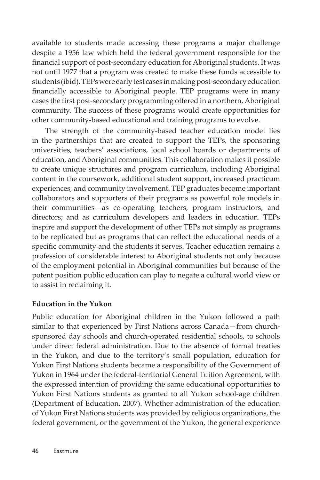available to students made accessing these programs a major challenge despite a 1956 law which held the federal government responsible for the financial support of post-secondary education for Aboriginal students. It was not until 1977 that a program was created to make these funds accessible to students (ibid). TEPs were early test cases in making post-secondary education financially accessible to Aboriginal people. TEP programs were in many cases the first post-secondary programming offered in a northern, Aboriginal community. The success of these programs would create opportunities for other community-based educational and training programs to evolve.

The strength of the community-based teacher education model lies in the partnerships that are created to support the TEPs, the sponsoring universities, teachers' associations, local school boards or departments of education, and Aboriginal communities. This collaboration makes it possible to create unique structures and program curriculum, including Aboriginal content in the coursework, additional student support, increased practicum experiences, and community involvement. TEP graduates become important collaborators and supporters of their programs as powerful role models in their communities—as co-operating teachers, program instructors, and directors; and as curriculum developers and leaders in education. TEPs inspire and support the development of other TEPs not simply as programs to be replicated but as programs that can reflect the educational needs of a specific community and the students it serves. Teacher education remains a profession of considerable interest to Aboriginal students not only because of the employment potential in Aboriginal communities but because of the potent position public education can play to negate a cultural world view or to assist in reclaiming it.

# **Education in the Yukon**

Public education for Aboriginal children in the Yukon followed a path similar to that experienced by First Nations across Canada—from churchsponsored day schools and church-operated residential schools, to schools under direct federal administration. Due to the absence of formal treaties in the Yukon, and due to the territory's small population, education for Yukon First Nations students became a responsibility of the Government of Yukon in 1964 under the federal-territorial General Tuition Agreement, with the expressed intention of providing the same educational opportunities to Yukon First Nations students as granted to all Yukon school-age children (Department of Education, 2007). Whether administration of the education of Yukon First Nations students was provided by religious organizations, the federal government, or the government of the Yukon, the general experience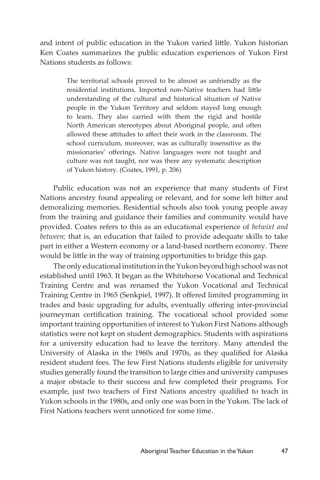and intent of public education in the Yukon varied little. Yukon historian Ken Coates summarizes the public education experiences of Yukon First Nations students as follows:

> The territorial schools proved to be almost as unfriendly as the residential institutions. Imported non-Native teachers had little understanding of the cultural and historical situation of Native people in the Yukon Territory and seldom stayed long enough to learn. They also carried with them the rigid and hostile North American stereotypes about Aboriginal people, and often allowed these attitudes to affect their work in the classroom. The school curriculum, moreover, was as culturally insensitive as the missionaries' offerings. Native languages were not taught and culture was not taught, nor was there any systematic description of Yukon history. (Coates, 1991, p. 206)

Public education was not an experience that many students of First Nations ancestry found appealing or relevant, and for some left bitter and demoralizing memories. Residential schools also took young people away from the training and guidance their families and community would have provided. Coates refers to this as an educational experience of *betwixt and between;* that is, an education that failed to provide adequate skills to take part in either a Western economy or a land-based northern economy. There would be little in the way of training opportunities to bridge this gap.

The only educational institution in the Yukon beyond high school was not established until 1963. It began as the Whitehorse Vocational and Technical Training Centre and was renamed the Yukon Vocational and Technical Training Centre in 1965 (Senkpiel, 1997). It offered limited programming in trades and basic upgrading for adults, eventually offering inter-provincial journeyman certification training. The vocational school provided some important training opportunities of interest to Yukon First Nations although statistics were not kept on student demographics. Students with aspirations for a university education had to leave the territory. Many attended the University of Alaska in the 1960s and 1970s, as they qualified for Alaska resident student fees. The few First Nations students eligible for university studies generally found the transition to large cities and university campuses a major obstacle to their success and few completed their programs. For example, just two teachers of First Nations ancestry qualified to teach in Yukon schools in the 1980s, and only one was born in the Yukon. The lack of First Nations teachers went unnoticed for some time.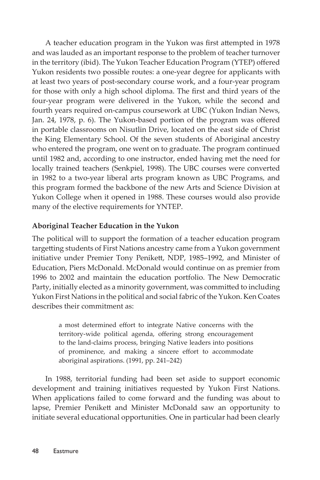A teacher education program in the Yukon was first attempted in 1978 and was lauded as an important response to the problem of teacher turnover in the territory (ibid). The Yukon Teacher Education Program (YTEP) offered Yukon residents two possible routes: a one-year degree for applicants with at least two years of post-secondary course work, and a four-year program for those with only a high school diploma. The first and third years of the four-year program were delivered in the Yukon, while the second and fourth years required on-campus coursework at UBC (Yukon Indian News, Jan. 24, 1978, p. 6). The Yukon-based portion of the program was offered in portable classrooms on Nisutlin Drive, located on the east side of Christ the King Elementary School. Of the seven students of Aboriginal ancestry who entered the program, one went on to graduate. The program continued until 1982 and, according to one instructor, ended having met the need for locally trained teachers (Senkpiel, 1998). The UBC courses were converted in 1982 to a two-year liberal arts program known as UBC Programs, and this program formed the backbone of the new Arts and Science Division at Yukon College when it opened in 1988. These courses would also provide many of the elective requirements for YNTEP.

# **Aboriginal Teacher Education in the Yukon**

The political will to support the formation of a teacher education program targetting students of First Nations ancestry came from a Yukon government initiative under Premier Tony Penikett, NDP, 1985–1992, and Minister of Education, Piers McDonald. McDonald would continue on as premier from 1996 to 2002 and maintain the education portfolio. The New Democratic Party, initially elected as a minority government, was committed to including Yukon First Nations in the political and social fabric of the Yukon. Ken Coates describes their commitment as:

> a most determined effort to integrate Native concerns with the territory-wide political agenda, offering strong encouragement to the land-claims process, bringing Native leaders into positions of prominence, and making a sincere effort to accommodate aboriginal aspirations. (1991, pp. 241–242)

In 1988, territorial funding had been set aside to support economic development and training initiatives requested by Yukon First Nations. When applications failed to come forward and the funding was about to lapse, Premier Penikett and Minister McDonald saw an opportunity to initiate several educational opportunities. One in particular had been clearly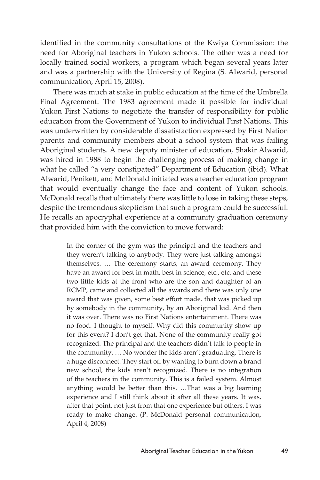identified in the community consultations of the Kwiya Commission: the need for Aboriginal teachers in Yukon schools. The other was a need for locally trained social workers, a program which began several years later and was a partnership with the University of Regina (S. Alwarid, personal communication, April 15, 2008).

There was much at stake in public education at the time of the Umbrella Final Agreement. The 1983 agreement made it possible for individual Yukon First Nations to negotiate the transfer of responsibility for public education from the Government of Yukon to individual First Nations. This was underwritten by considerable dissatisfaction expressed by First Nation parents and community members about a school system that was failing Aboriginal students. A new deputy minister of education, Shakir Alwarid, was hired in 1988 to begin the challenging process of making change in what he called "a very constipated" Department of Education (ibid). What Alwarid, Penikett, and McDonald initiated was a teacher education program that would eventually change the face and content of Yukon schools. McDonald recalls that ultimately there was little to lose in taking these steps, despite the tremendous skepticism that such a program could be successful. He recalls an apocryphal experience at a community graduation ceremony that provided him with the conviction to move forward:

> In the corner of the gym was the principal and the teachers and they weren't talking to anybody. They were just talking amongst themselves. … The ceremony starts, an award ceremony. They have an award for best in math, best in science, etc., etc. and these two little kids at the front who are the son and daughter of an RCMP, came and collected all the awards and there was only one award that was given, some best effort made, that was picked up by somebody in the community, by an Aboriginal kid. And then it was over. There was no First Nations entertainment. There was no food. I thought to myself. Why did this community show up for this event? I don't get that. None of the community really got recognized. The principal and the teachers didn't talk to people in the community. … No wonder the kids aren't graduating. There is a huge disconnect. They start off by wanting to burn down a brand new school, the kids aren't recognized. There is no integration of the teachers in the community. This is a failed system. Almost anything would be better than this. …That was a big learning experience and I still think about it after all these years. It was, after that point, not just from that one experience but others. I was ready to make change. (P. McDonald personal communication, April 4, 2008)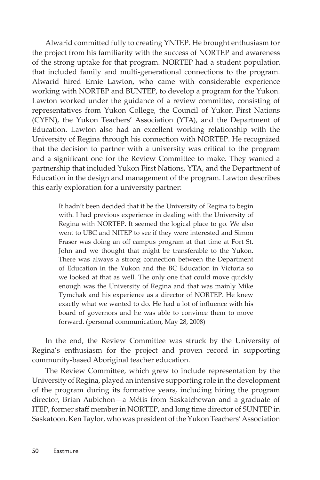Alwarid committed fully to creating YNTEP. He brought enthusiasm for the project from his familiarity with the success of NORTEP and awareness of the strong uptake for that program. NORTEP had a student population that included family and multi-generational connections to the program. Alwarid hired Ernie Lawton, who came with considerable experience working with NORTEP and BUNTEP, to develop a program for the Yukon. Lawton worked under the guidance of a review committee, consisting of representatives from Yukon College, the Council of Yukon First Nations (CYFN), the Yukon Teachers' Association (YTA), and the Department of Education. Lawton also had an excellent working relationship with the University of Regina through his connection with NORTEP. He recognized that the decision to partner with a university was critical to the program and a significant one for the Review Committee to make. They wanted a partnership that included Yukon First Nations, YTA, and the Department of Education in the design and management of the program. Lawton describes this early exploration for a university partner:

> It hadn't been decided that it be the University of Regina to begin with. I had previous experience in dealing with the University of Regina with NORTEP. It seemed the logical place to go. We also went to UBC and NITEP to see if they were interested and Simon Fraser was doing an off campus program at that time at Fort St. John and we thought that might be transferable to the Yukon. There was always a strong connection between the Department of Education in the Yukon and the BC Education in Victoria so we looked at that as well. The only one that could move quickly enough was the University of Regina and that was mainly Mike Tymchak and his experience as a director of NORTEP. He knew exactly what we wanted to do. He had a lot of influence with his board of governors and he was able to convince them to move forward. (personal communication, May 28, 2008)

In the end, the Review Committee was struck by the University of Regina's enthusiasm for the project and proven record in supporting community-based Aboriginal teacher education.

The Review Committee, which grew to include representation by the University of Regina, played an intensive supporting role in the development of the program during its formative years, including hiring the program director, Brian Aubichon—a Métis from Saskatchewan and a graduate of ITEP, former staff member in NORTEP, and long time director of SUNTEP in Saskatoon. Ken Taylor, who was president of the Yukon Teachers' Association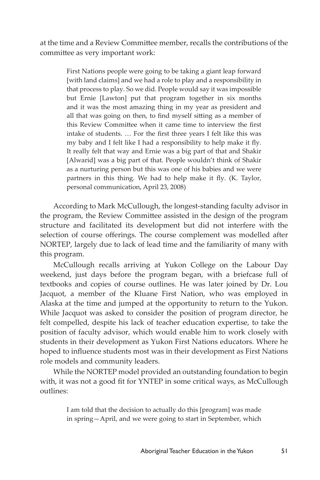at the time and a Review Committee member, recalls the contributions of the committee as very important work:

> First Nations people were going to be taking a giant leap forward [with land claims] and we had a role to play and a responsibility in that process to play. So we did. People would say it was impossible but Ernie [Lawton] put that program together in six months and it was the most amazing thing in my year as president and all that was going on then, to find myself sitting as a member of this Review Committee when it came time to interview the first intake of students. … For the first three years I felt like this was my baby and I felt like I had a responsibility to help make it fly. It really felt that way and Ernie was a big part of that and Shakir [Alwarid] was a big part of that. People wouldn't think of Shakir as a nurturing person but this was one of his babies and we were partners in this thing. We had to help make it fly. (K. Taylor, personal communication, April 23, 2008)

According to Mark McCullough, the longest-standing faculty advisor in the program, the Review Committee assisted in the design of the program structure and facilitated its development but did not interfere with the selection of course offerings. The course complement was modelled after NORTEP, largely due to lack of lead time and the familiarity of many with this program.

McCullough recalls arriving at Yukon College on the Labour Day weekend, just days before the program began, with a briefcase full of textbooks and copies of course outlines. He was later joined by Dr. Lou Jacquot, a member of the Kluane First Nation, who was employed in Alaska at the time and jumped at the opportunity to return to the Yukon. While Jacquot was asked to consider the position of program director, he felt compelled, despite his lack of teacher education expertise, to take the position of faculty advisor, which would enable him to work closely with students in their development as Yukon First Nations educators. Where he hoped to influence students most was in their development as First Nations role models and community leaders.

While the NORTEP model provided an outstanding foundation to begin with, it was not a good fit for YNTEP in some critical ways, as McCullough outlines:

> I am told that the decision to actually do this [program] was made in spring—April, and we were going to start in September, which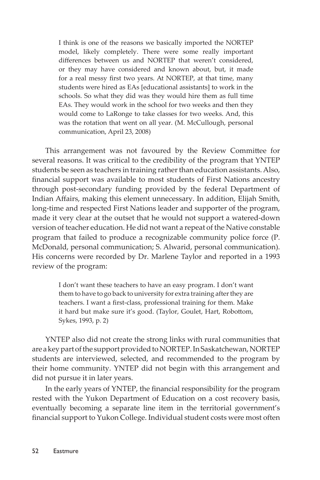I think is one of the reasons we basically imported the NORTEP model, likely completely. There were some really important differences between us and NORTEP that weren't considered, or they may have considered and known about, but, it made for a real messy first two years. At NORTEP, at that time, many students were hired as EAs [educational assistants] to work in the schools. So what they did was they would hire them as full time EAs. They would work in the school for two weeks and then they would come to LaRonge to take classes for two weeks. And, this was the rotation that went on all year. (M. McCullough, personal communication, April 23, 2008)

This arrangement was not favoured by the Review Committee for several reasons. It was critical to the credibility of the program that YNTEP students be seen as teachers in training rather than education assistants. Also, financial support was available to most students of First Nations ancestry through post-secondary funding provided by the federal Department of Indian Affairs, making this element unnecessary. In addition, Elijah Smith, long-time and respected First Nations leader and supporter of the program, made it very clear at the outset that he would not support a watered-down version of teacher education. He did not want a repeat of the Native constable program that failed to produce a recognizable community police force (P. McDonald, personal communication; S. Alwarid, personal communication). His concerns were recorded by Dr. Marlene Taylor and reported in a 1993 review of the program:

> I don't want these teachers to have an easy program. I don't want them to have to go back to university for extra training after they are teachers. I want a first-class, professional training for them. Make it hard but make sure it's good. (Taylor, Goulet, Hart, Robottom, Sykes, 1993, p. 2)

YNTEP also did not create the strong links with rural communities that are a key part of the support provided to NORTEP. In Saskatchewan, NORTEP students are interviewed, selected, and recommended to the program by their home community. YNTEP did not begin with this arrangement and did not pursue it in later years.

In the early years of YNTEP, the financial responsibility for the program rested with the Yukon Department of Education on a cost recovery basis, eventually becoming a separate line item in the territorial government's financial support to Yukon College. Individual student costs were most often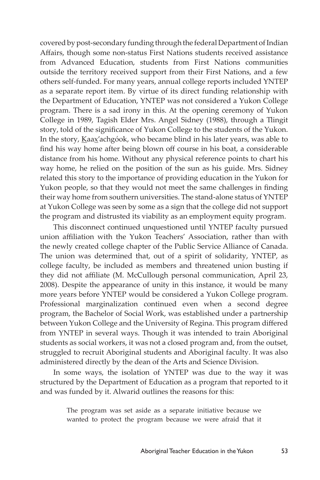covered by post-secondary funding through the federal Department of Indian Affairs, though some non-status First Nations students received assistance from Advanced Education, students from First Nations communities outside the territory received support from their First Nations, and a few others self-funded. For many years, annual college reports included YNTEP as a separate report item. By virtue of its direct funding relationship with the Department of Education, YNTEP was not considered a Yukon College program. There is a sad irony in this. At the opening ceremony of Yukon College in 1989, Tagish Elder Mrs. Angel Sidney (1988), through a Tlingit story, told of the significance of Yukon College to the students of the Yukon. In the story, Kaax'achgóok, who became blind in his later years, was able to find his way home after being blown off course in his boat, a considerable distance from his home. Without any physical reference points to chart his way home, he relied on the position of the sun as his guide. Mrs. Sidney related this story to the importance of providing education in the Yukon for Yukon people, so that they would not meet the same challenges in finding their way home from southern universities. The stand-alone status of YNTEP at Yukon College was seen by some as a sign that the college did not support the program and distrusted its viability as an employment equity program.

This disconnect continued unquestioned until YNTEP faculty pursued union affiliation with the Yukon Teachers' Association, rather than with the newly created college chapter of the Public Service Alliance of Canada. The union was determined that, out of a spirit of solidarity, YNTEP, as college faculty, be included as members and threatened union busting if they did not affiliate (M. McCullough personal communication, April 23, 2008). Despite the appearance of unity in this instance, it would be many more years before YNTEP would be considered a Yukon College program. Professional marginalization continued even when a second degree program, the Bachelor of Social Work, was established under a partnership between Yukon College and the University of Regina. This program differed from YNTEP in several ways. Though it was intended to train Aboriginal students as social workers, it was not a closed program and, from the outset, struggled to recruit Aboriginal students and Aboriginal faculty. It was also administered directly by the dean of the Arts and Science Division.

In some ways, the isolation of YNTEP was due to the way it was structured by the Department of Education as a program that reported to it and was funded by it. Alwarid outlines the reasons for this:

> The program was set aside as a separate initiative because we wanted to protect the program because we were afraid that it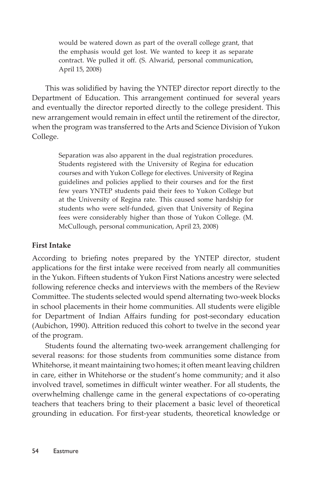would be watered down as part of the overall college grant, that the emphasis would get lost. We wanted to keep it as separate contract. We pulled it off. (S. Alwarid, personal communication, April 15, 2008)

This was solidified by having the YNTEP director report directly to the Department of Education. This arrangement continued for several years and eventually the director reported directly to the college president. This new arrangement would remain in effect until the retirement of the director, when the program was transferred to the Arts and Science Division of Yukon College.

> Separation was also apparent in the dual registration procedures. Students registered with the University of Regina for education courses and with Yukon College for electives. University of Regina guidelines and policies applied to their courses and for the first few years YNTEP students paid their fees to Yukon College but at the University of Regina rate. This caused some hardship for students who were self-funded, given that University of Regina fees were considerably higher than those of Yukon College. (M. McCullough, personal communication, April 23, 2008)

#### **First Intake**

According to briefing notes prepared by the YNTEP director, student applications for the first intake were received from nearly all communities in the Yukon. Fifteen students of Yukon First Nations ancestry were selected following reference checks and interviews with the members of the Review Committee. The students selected would spend alternating two-week blocks in school placements in their home communities. All students were eligible for Department of Indian Affairs funding for post-secondary education (Aubichon, 1990). Attrition reduced this cohort to twelve in the second year of the program.

Students found the alternating two-week arrangement challenging for several reasons: for those students from communities some distance from Whitehorse, it meant maintaining two homes; it often meant leaving children in care, either in Whitehorse or the student's home community; and it also involved travel, sometimes in difficult winter weather. For all students, the overwhelming challenge came in the general expectations of co-operating teachers that teachers bring to their placement a basic level of theoretical grounding in education. For first-year students, theoretical knowledge or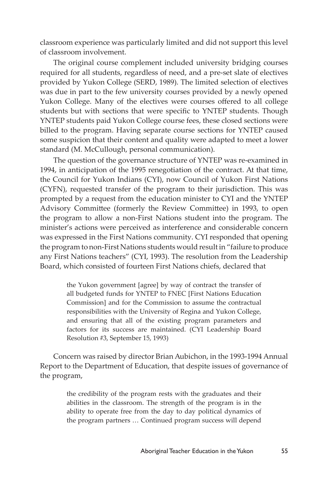classroom experience was particularly limited and did not support this level of classroom involvement.

The original course complement included university bridging courses required for all students, regardless of need, and a pre-set slate of electives provided by Yukon College (SERD, 1989). The limited selection of electives was due in part to the few university courses provided by a newly opened Yukon College. Many of the electives were courses offered to all college students but with sections that were specific to YNTEP students. Though YNTEP students paid Yukon College course fees, these closed sections were billed to the program. Having separate course sections for YNTEP caused some suspicion that their content and quality were adapted to meet a lower standard (M. McCullough, personal communication).

The question of the governance structure of YNTEP was re-examined in 1994, in anticipation of the 1995 renegotiation of the contract. At that time, the Council for Yukon Indians (CYI), now Council of Yukon First Nations (CYFN), requested transfer of the program to their jurisdiction. This was prompted by a request from the education minister to CYI and the YNTEP Advisory Committee (formerly the Review Committee) in 1993, to open the program to allow a non-First Nations student into the program. The minister's actions were perceived as interference and considerable concern was expressed in the First Nations community. CYI responded that opening the program to non-First Nations students would result in "failure to produce any First Nations teachers" (CYI, 1993). The resolution from the Leadership Board, which consisted of fourteen First Nations chiefs, declared that

> the Yukon government [agree] by way of contract the transfer of all budgeted funds for YNTEP to FNEC [First Nations Education Commission] and for the Commission to assume the contractual responsibilities with the University of Regina and Yukon College, and ensuring that all of the existing program parameters and factors for its success are maintained. (CYI Leadership Board Resolution #3, September 15, 1993)

Concern was raised by director Brian Aubichon, in the 1993-1994 Annual Report to the Department of Education, that despite issues of governance of the program,

> the credibility of the program rests with the graduates and their abilities in the classroom. The strength of the program is in the ability to operate free from the day to day political dynamics of the program partners … Continued program success will depend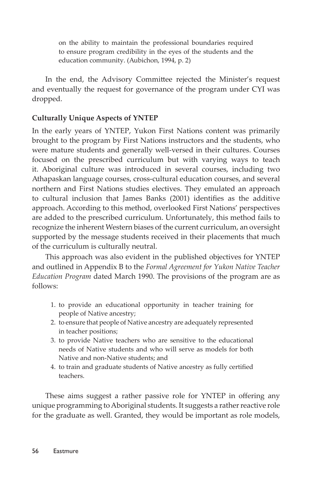on the ability to maintain the professional boundaries required to ensure program credibility in the eyes of the students and the education community. (Aubichon, 1994, p. 2)

In the end, the Advisory Committee rejected the Minister's request and eventually the request for governance of the program under CYI was dropped.

# **Culturally Unique Aspects of YNTEP**

In the early years of YNTEP, Yukon First Nations content was primarily brought to the program by First Nations instructors and the students, who were mature students and generally well-versed in their cultures. Courses focused on the prescribed curriculum but with varying ways to teach it. Aboriginal culture was introduced in several courses, including two Athapaskan language courses, cross-cultural education courses, and several northern and First Nations studies electives. They emulated an approach to cultural inclusion that James Banks (2001) identifies as the additive approach. According to this method, overlooked First Nations' perspectives are added to the prescribed curriculum. Unfortunately, this method fails to recognize the inherent Western biases of the current curriculum, an oversight supported by the message students received in their placements that much of the curriculum is culturally neutral.

This approach was also evident in the published objectives for YNTEP and outlined in Appendix B to the *Formal Agreement for Yukon Native Teacher Education Program* dated March 1990. The provisions of the program are as follows:

- 1. to provide an educational opportunity in teacher training for people of Native ancestry;
- 2. to ensure that people of Native ancestry are adequately represented in teacher positions;
- 3. to provide Native teachers who are sensitive to the educational needs of Native students and who will serve as models for both Native and non-Native students; and
- 4. to train and graduate students of Native ancestry as fully certified teachers.

These aims suggest a rather passive role for YNTEP in offering any unique programming to Aboriginal students. It suggests a rather reactive role for the graduate as well. Granted, they would be important as role models,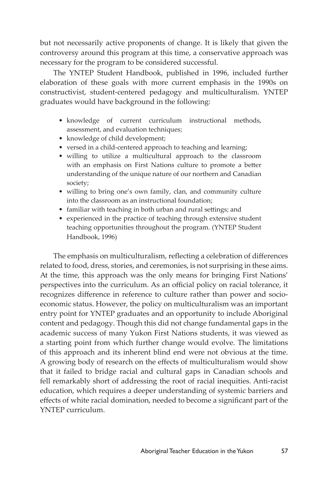but not necessarily active proponents of change. It is likely that given the controversy around this program at this time, a conservative approach was necessary for the program to be considered successful.

The YNTEP Student Handbook, published in 1996, included further elaboration of these goals with more current emphasis in the 1990s on constructivist, student-centered pedagogy and multiculturalism. YNTEP graduates would have background in the following:

- knowledge of current curriculum instructional methods, assessment, and evaluation techniques;
- knowledge of child development;
- versed in a child-centered approach to teaching and learning;
- willing to utilize a multicultural approach to the classroom with an emphasis on First Nations culture to promote a better understanding of the unique nature of our northern and Canadian society;
- willing to bring one's own family, clan, and community culture into the classroom as an instructional foundation;
- familiar with teaching in both urban and rural settings; and
- experienced in the practice of teaching through extensive student teaching opportunities throughout the program. (YNTEP Student Handbook, 1996)

The emphasis on multiculturalism, reflecting a celebration of differences related to food, dress, stories, and ceremonies, is not surprising in these aims. At the time, this approach was the only means for bringing First Nations' perspectives into the curriculum. As an official policy on racial tolerance, it recognizes difference in reference to culture rather than power and socioeconomic status. However, the policy on multiculturalism was an important entry point for YNTEP graduates and an opportunity to include Aboriginal content and pedagogy. Though this did not change fundamental gaps in the academic success of many Yukon First Nations students, it was viewed as a starting point from which further change would evolve. The limitations of this approach and its inherent blind end were not obvious at the time. A growing body of research on the effects of multiculturalism would show that it failed to bridge racial and cultural gaps in Canadian schools and fell remarkably short of addressing the root of racial inequities. Anti-racist education, which requires a deeper understanding of systemic barriers and effects of white racial domination, needed to become a significant part of the YNTEP curriculum.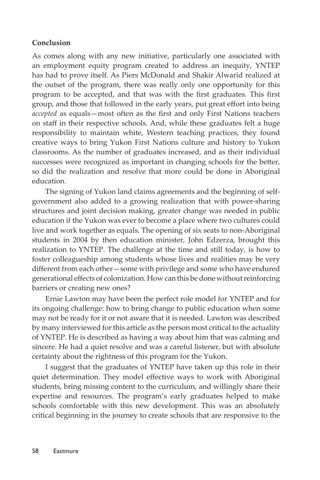#### **Conclusion**

As comes along with any new initiative, particularly one associated with an employment equity program created to address an inequity, YNTEP has had to prove itself. As Piers McDonald and Shakir Alwarid realized at the outset of the program, there was really only one opportunity for this program to be accepted, and that was with the first graduates. This first group, and those that followed in the early years, put great effort into being *accepted* as equals—most often as the first and only First Nations teachers on staff in their respective schools. And, while these graduates felt a huge responsibility to maintain white, Western teaching practices, they found creative ways to bring Yukon First Nations culture and history to Yukon classrooms. As the number of graduates increased, and as their individual successes were recognized as important in changing schools for the better, so did the realization and resolve that more could be done in Aboriginal education.

The signing of Yukon land claims agreements and the beginning of selfgovernment also added to a growing realization that with power-sharing structures and joint decision making, greater change was needed in public education if the Yukon was ever to become a place where two cultures could live and work together as equals. The opening of six seats to non-Aboriginal students in 2004 by then education minister, John Edzerza, brought this realization to YNTEP. The challenge at the time and still today, is how to foster colleagueship among students whose lives and realities may be very different from each other—some with privilege and some who have endured generational effects of colonization. How can this be done without reinforcing barriers or creating new ones?

Ernie Lawton may have been the perfect role model for YNTEP and for its ongoing challenge: how to bring change to public education when some may not be ready for it or not aware that it is needed. Lawton was described by many interviewed for this article as the person most critical to the actuality of YNTEP. He is described as having a way about him that was calming and sincere. He had a quiet resolve and was a careful listener, but with absolute certainty about the rightness of this program for the Yukon.

I suggest that the graduates of YNTEP have taken up this role in their quiet determination. They model effective ways to work with Aboriginal students, bring missing content to the curriculum, and willingly share their expertise and resources. The program's early graduates helped to make schools comfortable with this new development. This was an absolutely critical beginning in the journey to create schools that are responsive to the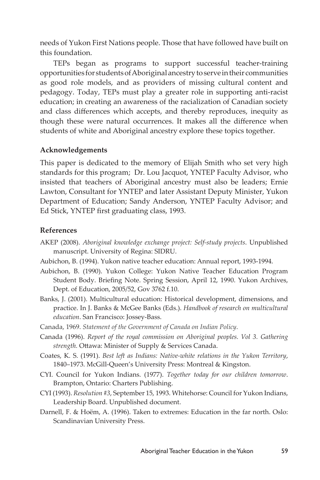needs of Yukon First Nations people. Those that have followed have built on this foundation.

TEPs began as programs to support successful teacher-training opportunities for students of Aboriginal ancestry to serve in their communities as good role models, and as providers of missing cultural content and pedagogy. Today, TEPs must play a greater role in supporting anti-racist education; in creating an awareness of the racialization of Canadian society and class differences which accepts, and thereby reproduces, inequity as though these were natural occurrences. It makes all the difference when students of white and Aboriginal ancestry explore these topics together.

## **Acknowledgements**

This paper is dedicated to the memory of Elijah Smith who set very high standards for this program; Dr. Lou Jacquot, YNTEP Faculty Advisor, who insisted that teachers of Aboriginal ancestry must also be leaders; Ernie Lawton, Consultant for YNTEP and later Assistant Deputy Minister, Yukon Department of Education; Sandy Anderson, YNTEP Faculty Advisor; and Ed Stick, YNTEP first graduating class, 1993.

## **References**

- AKEP (2008). *Aboriginal knowledge exchange project: Self-study projects*. Unpublished manuscript. University of Regina: SIDRU.
- Aubichon, B. (1994). Yukon native teacher education: Annual report, 1993-1994.
- Aubichon, B. (1990). Yukon College: Yukon Native Teacher Education Program Student Body. Briefing Note. Spring Session, April 12, 1990. Yukon Archives, Dept. of Education, 2005/52, Gov 3762 f.10.
- Banks, J. (2001). Multicultural education: Historical development, dimensions, and practice. In J. Banks & McGee Banks (Eds.). *Handbook of research on multicultural education*. San Francisco: Jossey-Bass.
- Canada, 1969. *Statement of the Government of Canada on Indian Policy*.
- Canada (1996). *Report of the royal commission on Aboriginal peoples. Vol 3. Gathering strength.* Ottawa: Minister of Supply & Services Canada.
- Coates, K. S. (1991). *Best left as Indians: Native-white relations in the Yukon Territory*, 1840–1973. McGill-Queen's University Press: Montreal & Kingston.
- CYI. Council for Yukon Indians. (1977). *Together today for our children tomorrow*. Brampton, Ontario: Charters Publishing.
- CYI (1993). *Resolution #3*, September 15, 1993. Whitehorse: Council for Yukon Indians, Leadership Board. Unpublished document.
- Darnell, F. & Hoëm, A. (1996). Taken to extremes: Education in the far north. Oslo: Scandinavian University Press.